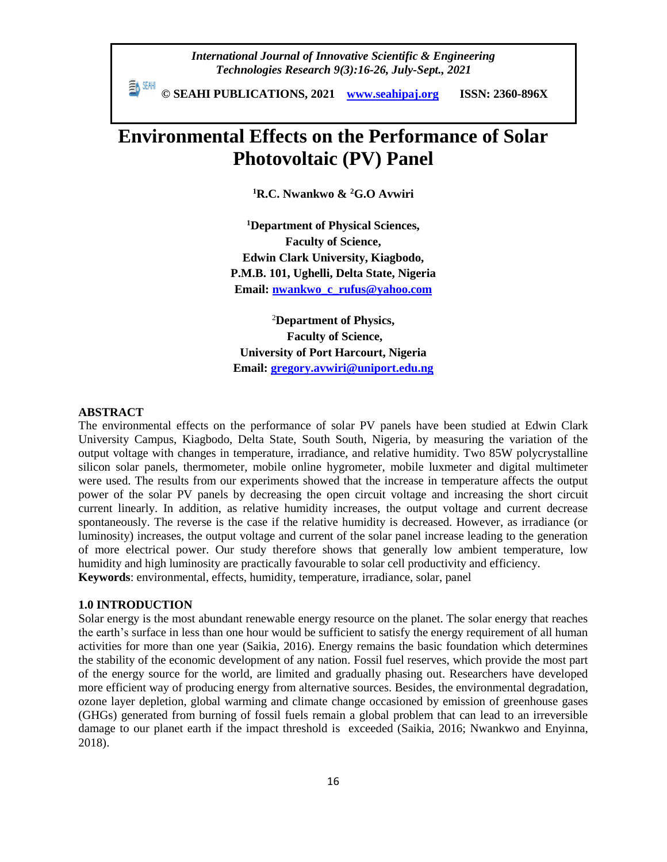*International Journal of Innovative Scientific & Engineering Technologies Research 9(3):16-26, July-Sept., 2021*

 **© SEAHI PUBLICATIONS, 2021 [www.seahipaj.org](http://www.seahipaj.org/) ISSN: 2360-896X**

# **Environmental Effects on the Performance of Solar Photovoltaic (PV) Panel**

**<sup>1</sup>R.C. Nwankwo & <sup>2</sup>G.O Avwiri**

**<sup>1</sup>Department of Physical Sciences, Faculty of Science, Edwin Clark University, Kiagbodo, P.M.B. 101, Ughelli, Delta State, Nigeria Email: [nwankwo\\_c\\_rufus@yahoo.com](mailto:nwankwo_c_rufus@yahoo.com)**

<sup>2</sup>**Department of Physics, Faculty of Science, University of Port Harcourt, Nigeria Email: [gregory.avwiri@uniport.edu.ng](mailto:gregory.avwiri@uniport.edu.ng)**

## **ABSTRACT**

The environmental effects on the performance of solar PV panels have been studied at Edwin Clark University Campus, Kiagbodo, Delta State, South South, Nigeria, by measuring the variation of the output voltage with changes in temperature, irradiance, and relative humidity. Two 85W polycrystalline silicon solar panels, thermometer, mobile online hygrometer, mobile luxmeter and digital multimeter were used. The results from our experiments showed that the increase in temperature affects the output power of the solar PV panels by decreasing the open circuit voltage and increasing the short circuit current linearly. In addition, as relative humidity increases, the output voltage and current decrease spontaneously. The reverse is the case if the relative humidity is decreased. However, as irradiance (or luminosity) increases, the output voltage and current of the solar panel increase leading to the generation of more electrical power. Our study therefore shows that generally low ambient temperature, low humidity and high luminosity are practically favourable to solar cell productivity and efficiency. **Keywords**: environmental, effects, humidity, temperature, irradiance, solar, panel

#### **1.0 INTRODUCTION**

Solar energy is the most abundant renewable energy resource on the planet. The solar energy that reaches the earth's surface in less than one hour would be sufficient to satisfy the energy requirement of all human activities for more than one year (Saikia, 2016). Energy remains the basic foundation which determines the stability of the economic development of any nation. Fossil fuel reserves, which provide the most part of the energy source for the world, are limited and gradually phasing out. Researchers have developed more efficient way of producing energy from alternative sources. Besides, the environmental degradation, ozone layer depletion, global warming and climate change occasioned by emission of greenhouse gases (GHGs) generated from burning of fossil fuels remain a global problem that can lead to an irreversible damage to our planet earth if the impact threshold is exceeded (Saikia, 2016; Nwankwo and Enyinna, 2018).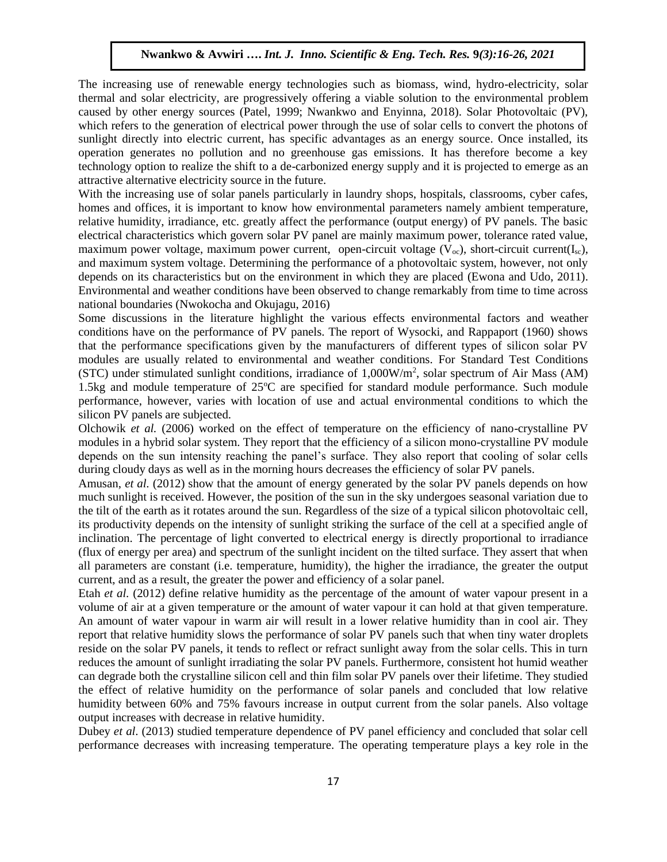The increasing use of renewable energy technologies such as biomass, wind, hydro-electricity, solar thermal and solar electricity, are progressively offering a viable solution to the environmental problem caused by other energy sources (Patel, 1999; Nwankwo and Enyinna, 2018). Solar Photovoltaic (PV), which refers to the generation of electrical power through the use of solar cells to convert the photons of sunlight directly into electric current, has specific advantages as an energy source. Once installed, its operation generates no pollution and no greenhouse gas emissions. It has therefore become a key technology option to realize the shift to a de-carbonized energy supply and it is projected to emerge as an attractive alternative electricity source in the future.

With the increasing use of solar panels particularly in laundry shops, hospitals, classrooms, cyber cafes, homes and offices, it is important to know how environmental parameters namely ambient temperature, relative humidity, irradiance, etc. greatly affect the performance (output energy) of PV panels. The basic electrical characteristics which govern solar PV panel are mainly maximum power, tolerance rated value, maximum power voltage, maximum power current, open-circuit voltage  $(V_{\infty})$ , short-circuit current(I<sub>sc</sub>), and maximum system voltage. Determining the performance of a photovoltaic system, however, not only depends on its characteristics but on the environment in which they are placed (Ewona and Udo, 2011). Environmental and weather conditions have been observed to change remarkably from time to time across national boundaries (Nwokocha and Okujagu, 2016)

Some discussions in the literature highlight the various effects environmental factors and weather conditions have on the performance of PV panels. The report of Wysocki, and Rappaport (1960) shows that the performance specifications given by the manufacturers of different types of silicon solar PV modules are usually related to environmental and weather conditions. For Standard Test Conditions (STC) under stimulated sunlight conditions, irradiance of  $1,000W/m^2$ , solar spectrum of Air Mass (AM) 1.5kg and module temperature of  $25^{\circ}$ C are specified for standard module performance. Such module performance, however, varies with location of use and actual environmental conditions to which the silicon PV panels are subjected.

Olchowik *et al.* (2006) worked on the effect of temperature on the efficiency of nano-crystalline PV modules in a hybrid solar system. They report that the efficiency of a silicon mono-crystalline PV module depends on the sun intensity reaching the panel's surface. They also report that cooling of solar cells during cloudy days as well as in the morning hours decreases the efficiency of solar PV panels.

Amusan, *et al.* (2012) show that the amount of energy generated by the solar PV panels depends on how much sunlight is received. However, the position of the sun in the sky undergoes seasonal variation due to the tilt of the earth as it rotates around the sun. Regardless of the size of a typical silicon photovoltaic cell, its productivity depends on the intensity of sunlight striking the surface of the cell at a specified angle of inclination. The percentage of light converted to electrical energy is directly proportional to irradiance (flux of energy per area) and spectrum of the sunlight incident on the tilted surface. They assert that when all parameters are constant (i.e. temperature, humidity), the higher the irradiance, the greater the output current, and as a result, the greater the power and efficiency of a solar panel.

Etah *et al.* (2012) define relative humidity as the percentage of the amount of water vapour present in a volume of air at a given temperature or the amount of water vapour it can hold at that given temperature. An amount of water vapour in warm air will result in a lower relative humidity than in cool air. They report that relative humidity slows the performance of solar PV panels such that when tiny water droplets reside on the solar PV panels, it tends to reflect or refract sunlight away from the solar cells. This in turn reduces the amount of sunlight irradiating the solar PV panels. Furthermore, consistent hot humid weather can degrade both the crystalline silicon cell and thin film solar PV panels over their lifetime. They studied the effect of relative humidity on the performance of solar panels and concluded that low relative humidity between 60% and 75% favours increase in output current from the solar panels. Also voltage output increases with decrease in relative humidity.

Dubey *et al*. (2013) studied temperature dependence of PV panel efficiency and concluded that solar cell performance decreases with increasing temperature. The operating temperature plays a key role in the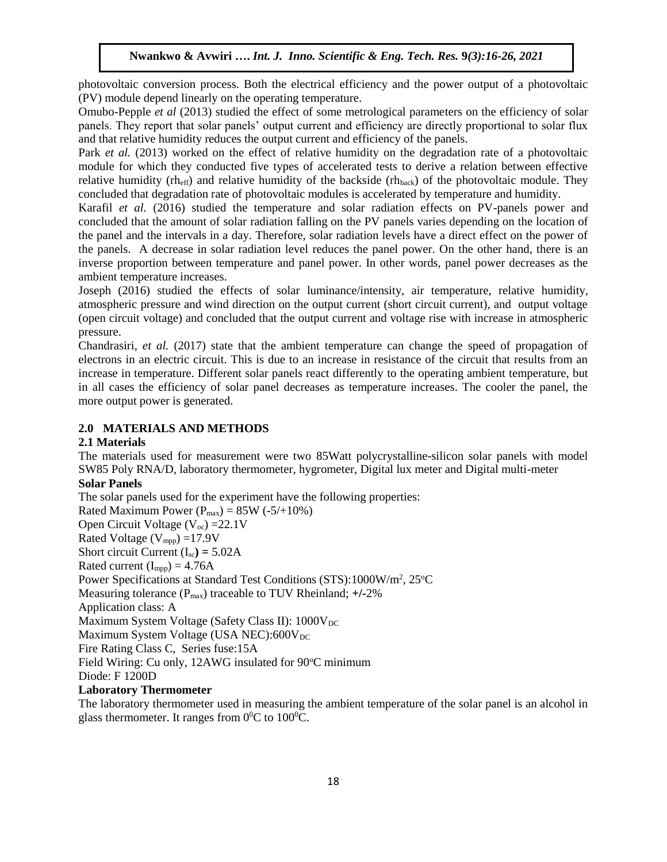photovoltaic conversion process. Both the electrical efficiency and the power output of a photovoltaic (PV) module depend linearly on the operating temperature.

Omubo-Pepple *et al* (2013) studied the effect of some metrological parameters on the efficiency of solar panels. They report that solar panels' output current and efficiency are directly proportional to solar flux and that relative humidity reduces the output current and efficiency of the panels.

Park *et al.* (2013) worked on the effect of relative humidity on the degradation rate of a photovoltaic module for which they conducted five types of accelerated tests to derive a relation between effective relative humidity (rh<sub>eff</sub>) and relative humidity of the backside (rh<sub>back</sub>) of the photovoltaic module. They concluded that degradation rate of photovoltaic modules is accelerated by temperature and humidity.

Karafil *et al.* (2016) studied the temperature and solar radiation effects on PV-panels power and concluded that the amount of solar radiation falling on the PV panels varies depending on the location of the panel and the intervals in a day. Therefore, solar radiation levels have a direct effect on the power of the panels. A decrease in solar radiation level reduces the panel power. On the other hand, there is an inverse proportion between temperature and panel power. In other words, panel power decreases as the ambient temperature increases.

Joseph (2016) studied the effects of solar luminance/intensity, air temperature, relative humidity, atmospheric pressure and wind direction on the output current (short circuit current), and output voltage (open circuit voltage) and concluded that the output current and voltage rise with increase in atmospheric pressure.

Chandrasiri, *et al.* (2017) state that the ambient temperature can change the speed of propagation of electrons in an electric circuit. This is due to an increase in resistance of the circuit that results from an increase in temperature. Different solar panels react differently to the operating ambient temperature, but in all cases the efficiency of solar panel decreases as temperature increases. The cooler the panel, the more output power is generated.

## **2.0 MATERIALS AND METHODS**

#### **2.1 Materials**

The materials used for measurement were two 85Watt polycrystalline-silicon solar panels with model SW85 Poly RNA/D, laboratory thermometer, hygrometer, Digital lux meter and Digital multi-meter

# **Solar Panels**

The solar panels used for the experiment have the following properties: Rated Maximum Power  $(P_{max}) = 85W (-5/10\%)$ Open Circuit Voltage  $(V_{oc}) = 22.1V$ Rated Voltage (Vmpp) =17.9V Short circuit Current  $(I_{sc}) = 5.02A$ Rated current  $(I_{mpp}) = 4.76A$ Power Specifications at Standard Test Conditions (STS):1000W/m<sup>2</sup>, 25°C Measuring tolerance (Pmax) traceable to TUV Rheinland; **+/-**2% Application class: A Maximum System Voltage (Safety Class II):  $1000V<sub>DC</sub>$ Maximum System Voltage (USA NEC): $600V_{DC}$ Fire Rating Class C, Series fuse:15A Field Wiring: Cu only, 12AWG insulated for 90°C minimum Diode: F 1200D **Laboratory Thermometer**

The laboratory thermometer used in measuring the ambient temperature of the solar panel is an alcohol in glass thermometer. It ranges from  $0^0C$  to  $100^0C$ .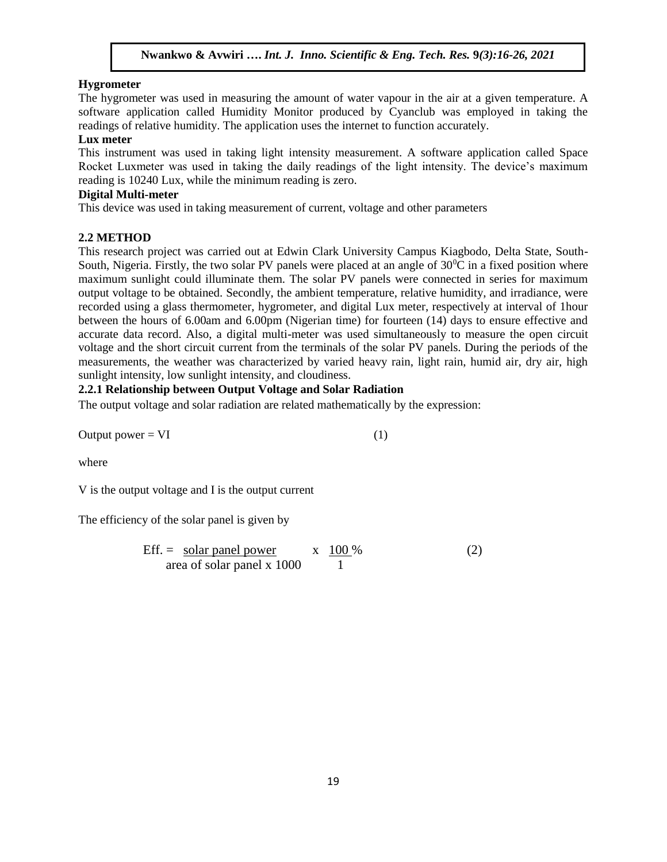#### **Hygrometer**

The hygrometer was used in measuring the amount of water vapour in the air at a given temperature. A software application called Humidity Monitor produced by Cyanclub was employed in taking the readings of relative humidity. The application uses the internet to function accurately.

#### **Lux meter**

This instrument was used in taking light intensity measurement. A software application called Space Rocket Luxmeter was used in taking the daily readings of the light intensity. The device's maximum reading is 10240 Lux, while the minimum reading is zero.

#### **Digital Multi-meter**

This device was used in taking measurement of current, voltage and other parameters

#### **2.2 METHOD**

This research project was carried out at Edwin Clark University Campus Kiagbodo, Delta State, South-South, Nigeria. Firstly, the two solar PV panels were placed at an angle of  $30^{\circ}$ C in a fixed position where maximum sunlight could illuminate them. The solar PV panels were connected in series for maximum output voltage to be obtained. Secondly, the ambient temperature, relative humidity, and irradiance, were recorded using a glass thermometer, hygrometer, and digital Lux meter, respectively at interval of 1hour between the hours of 6.00am and 6.00pm (Nigerian time) for fourteen (14) days to ensure effective and accurate data record. Also, a digital multi-meter was used simultaneously to measure the open circuit voltage and the short circuit current from the terminals of the solar PV panels. During the periods of the measurements, the weather was characterized by varied heavy rain, light rain, humid air, dry air, high sunlight intensity, low sunlight intensity, and cloudiness.

## **2.2.1 Relationship between Output Voltage and Solar Radiation**

The output voltage and solar radiation are related mathematically by the expression:

Output power  $= VI$  (1)

where

V is the output voltage and I is the output current

The efficiency of the solar panel is given by

Eff. = solar panel power x 100 % (2) area of solar panel x 1000 1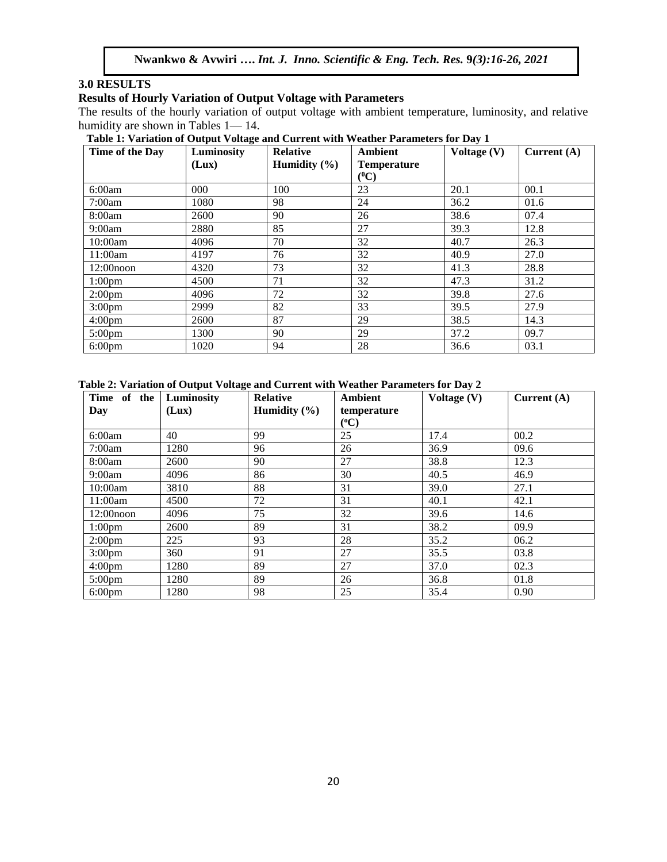## **3.0 RESULTS**

#### **Results of Hourly Variation of Output Voltage with Parameters**

The results of the hourly variation of output voltage with ambient temperature, luminosity, and relative humidity are shown in Tables 1— 14.

| Table 1: Variation of Output Voltage and Current with Weather Parameters for Day 1 |
|------------------------------------------------------------------------------------|
|------------------------------------------------------------------------------------|

| Time of the Day    | ຼ<br>Luminosity | <b>Relative</b>  | <b>Ambient</b>                | Voltage (V) | Current $(A)$ |
|--------------------|-----------------|------------------|-------------------------------|-------------|---------------|
|                    | (Lux)           | Humidity $(\% )$ | <b>Temperature</b><br>$(^0C)$ |             |               |
| 6:00am             | 000             | 100              | 23                            | 20.1        | 00.1          |
| 7:00am             | 1080            | 98               | 24                            | 36.2        | 01.6          |
| 8:00am             | 2600            | 90               | 26                            | 38.6        | 07.4          |
| 9:00am             | 2880            | 85               | 27                            | 39.3        | 12.8          |
| 10:00am            | 4096            | 70               | 32                            | 40.7        | 26.3          |
| 11:00am            | 4197            | 76               | 32                            | 40.9        | 27.0          |
| $12:00$ noon       | 4320            | 73               | 32                            | 41.3        | 28.8          |
| 1:00 <sub>pm</sub> | 4500            | 71               | 32                            | 47.3        | 31.2          |
| 2:00 <sub>pm</sub> | 4096            | 72               | 32                            | 39.8        | 27.6          |
| 3:00 <sub>pm</sub> | 2999            | 82               | 33                            | 39.5        | 27.9          |
| 4:00 <sub>pm</sub> | 2600            | 87               | 29                            | 38.5        | 14.3          |
| $5:00 \text{pm}$   | 1300            | 90               | 29                            | 37.2        | 09.7          |
| 6:00 <sub>pm</sub> | 1020            | 94               | 28                            | 36.6        | 03.1          |

**Table 2: Variation of Output Voltage and Current with Weather Parameters for Day 2** 

| Time of the        | Luminosity | <b>Relative</b>  | <b>Ambient</b> | Voltage $(V)$ | Current $(A)$ |
|--------------------|------------|------------------|----------------|---------------|---------------|
| Day                | (Lux)      | Humidity $(\% )$ | temperature    |               |               |
|                    |            |                  | $(^oC)$        |               |               |
| 6:00am             | 40         | 99               | 25             | 17.4          | 00.2          |
| 7:00am             | 1280       | 96               | 26             | 36.9          | 09.6          |
| 8:00am             | 2600       | 90               | 27             | 38.8          | 12.3          |
| 9:00am             | 4096       | 86               | 30             | 40.5          | 46.9          |
| 10:00am            | 3810       | 88               | 31             | 39.0          | 27.1          |
| 11:00am            | 4500       | 72               | 31             | 40.1          | 42.1          |
| $12:00$ noon       | 4096       | 75               | 32             | 39.6          | 14.6          |
| 1:00 <sub>pm</sub> | 2600       | 89               | 31             | 38.2          | 09.9          |
| 2:00 <sub>pm</sub> | 225        | 93               | 28             | 35.2          | 06.2          |
| 3:00 <sub>pm</sub> | 360        | 91               | 27             | 35.5          | 03.8          |
| 4:00 <sub>pm</sub> | 1280       | 89               | 27             | 37.0          | 02.3          |
| $5:00 \text{pm}$   | 1280       | 89               | 26             | 36.8          | 01.8          |
| $6:00 \text{pm}$   | 1280       | 98               | 25             | 35.4          | 0.90          |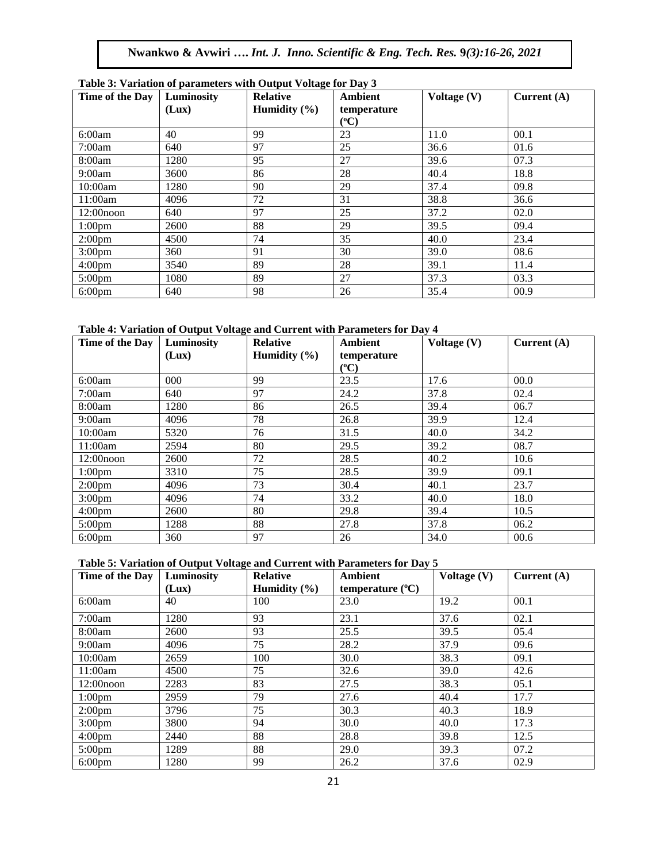| Time of the Day    | Table 5: Variation of parameters with Output Voltage for Day 5<br>Luminosity | <b>Relative</b>  | <b>Ambient</b>           | Voltage $(V)$ | Current $(A)$ |
|--------------------|------------------------------------------------------------------------------|------------------|--------------------------|---------------|---------------|
|                    | (Lux)                                                                        | Humidity $(\% )$ | temperature<br>$({}^oC)$ |               |               |
| 6:00am             | 40                                                                           | 99               | 23                       | 11.0          | 00.1          |
| 7:00am             | 640                                                                          | 97               | 25                       | 36.6          | 01.6          |
| 8:00am             | 1280                                                                         | 95               | 27                       | 39.6          | 07.3          |
| 9:00am             | 3600                                                                         | 86               | 28                       | 40.4          | 18.8          |
| 10:00am            | 1280                                                                         | 90               | 29                       | 37.4          | 09.8          |
| 11:00am            | 4096                                                                         | 72               | 31                       | 38.8          | 36.6          |
| $12:00$ noon       | 640                                                                          | 97               | 25                       | 37.2          | 02.0          |
| 1:00 <sub>pm</sub> | 2600                                                                         | 88               | 29                       | 39.5          | 09.4          |
| 2:00 <sub>pm</sub> | 4500                                                                         | 74               | 35                       | 40.0          | 23.4          |
| 3:00 <sub>pm</sub> | 360                                                                          | 91               | 30                       | 39.0          | 08.6          |
| 4:00 <sub>pm</sub> | 3540                                                                         | 89               | 28                       | 39.1          | 11.4          |
| 5:00 <sub>pm</sub> | 1080                                                                         | 89               | 27                       | 37.3          | 03.3          |
| 6:00 <sub>pm</sub> | 640                                                                          | 98               | 26                       | 35.4          | 00.9          |

# **Table 3: Variation of parameters with Output Voltage for Day 3**

#### **Table 4: Variation of Output Voltage and Current with Parameters for Day 4**

| Time of the Day    | Luminosity | <b>Relative</b>  | <b>Ambient</b> | Voltage (V) | Current $(A)$ |
|--------------------|------------|------------------|----------------|-------------|---------------|
|                    | (Lux)      | Humidity $(\% )$ | temperature    |             |               |
|                    |            |                  | $({}^0C)$      |             |               |
| 6:00am             | 000        | 99               | 23.5           | 17.6        | 00.0          |
| 7:00am             | 640        | 97               | 24.2           | 37.8        | 02.4          |
| 8:00am             | 1280       | 86               | 26.5           | 39.4        | 06.7          |
| 9:00am             | 4096       | 78               | 26.8           | 39.9        | 12.4          |
| 10:00am            | 5320       | 76               | 31.5           | 40.0        | 34.2          |
| 11:00am            | 2594       | 80               | 29.5           | 39.2        | 08.7          |
| $12:00$ noon       | 2600       | 72               | 28.5           | 40.2        | 10.6          |
| 1:00 <sub>pm</sub> | 3310       | 75               | 28.5           | 39.9        | 09.1          |
| 2:00 <sub>pm</sub> | 4096       | 73               | 30.4           | 40.1        | 23.7          |
| 3:00 <sub>pm</sub> | 4096       | 74               | 33.2           | 40.0        | 18.0          |
| 4:00 <sub>pm</sub> | 2600       | 80               | 29.8           | 39.4        | 10.5          |
| 5:00 <sub>pm</sub> | 1288       | 88               | 27.8           | 37.8        | 06.2          |
| $6:00 \text{pm}$   | 360        | 97               | 26             | 34.0        | 00.6          |

#### **Table 5: Variation of Output Voltage and Current with Parameters for Day 5**

| Time of the Day    | Luminosity | <b>Relative</b>  | <b>Ambient</b>            | Voltage (V) | Current $(A)$ |
|--------------------|------------|------------------|---------------------------|-------------|---------------|
|                    | (Lux)      | Humidity $(\% )$ | temperature $(^{\circ}C)$ |             |               |
| 6:00am             | 40         | 100              | 23.0                      | 19.2        | 00.1          |
| 7:00am             | 1280       | 93               | 23.1                      | 37.6        | 02.1          |
| 8:00am             | 2600       | 93               | 25.5                      | 39.5        | 05.4          |
| 9:00am             | 4096       | 75               | 28.2                      | 37.9        | 09.6          |
| 10:00am            | 2659       | 100              | 30.0                      | 38.3        | 09.1          |
| 11:00am            | 4500       | 75               | 32.6                      | 39.0        | 42.6          |
| $12:00$ noon       | 2283       | 83               | 27.5                      | 38.3        | 05.1          |
| 1:00 <sub>pm</sub> | 2959       | 79               | 27.6                      | 40.4        | 17.7          |
| 2:00 <sub>pm</sub> | 3796       | 75               | 30.3                      | 40.3        | 18.9          |
| 3:00 <sub>pm</sub> | 3800       | 94               | 30.0                      | 40.0        | 17.3          |
| 4:00 <sub>pm</sub> | 2440       | 88               | 28.8                      | 39.8        | 12.5          |
| 5:00 <sub>pm</sub> | 1289       | 88               | 29.0                      | 39.3        | 07.2          |
| $6:00$ pm          | 1280       | 99               | 26.2                      | 37.6        | 02.9          |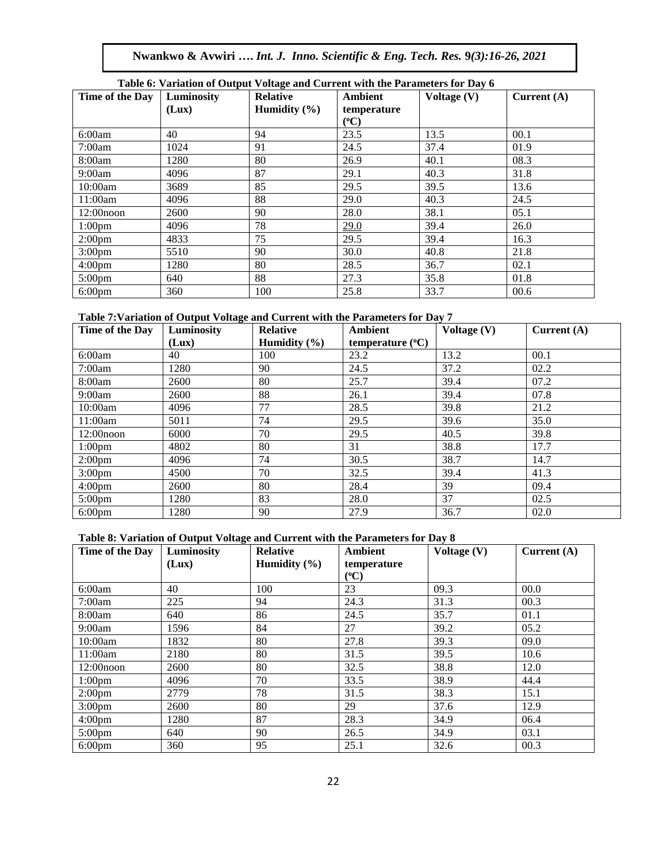| Table 0: Variation of Output Voltage and Current with the Farameters for Day 6 |            |                  |             |               |               |  |  |
|--------------------------------------------------------------------------------|------------|------------------|-------------|---------------|---------------|--|--|
| Time of the Day                                                                | Luminosity | <b>Relative</b>  | Ambient     | Voltage $(V)$ | Current $(A)$ |  |  |
|                                                                                | (Lux)      | Humidity $(\% )$ | temperature |               |               |  |  |
|                                                                                |            |                  | $({}^oC)$   |               |               |  |  |
| 6:00am                                                                         | 40         | 94               | 23.5        | 13.5          | 00.1          |  |  |
| 7:00am                                                                         | 1024       | 91               | 24.5        | 37.4          | 01.9          |  |  |
| 8:00am                                                                         | 1280       | 80               | 26.9        | 40.1          | 08.3          |  |  |
| 9:00am                                                                         | 4096       | 87               | 29.1        | 40.3          | 31.8          |  |  |
| 10:00am                                                                        | 3689       | 85               | 29.5        | 39.5          | 13.6          |  |  |
| 11:00am                                                                        | 4096       | 88               | 29.0        | 40.3          | 24.5          |  |  |
| $12:00$ noon                                                                   | 2600       | 90               | 28.0        | 38.1          | 05.1          |  |  |
| 1:00 <sub>pm</sub>                                                             | 4096       | 78               | 29.0        | 39.4          | 26.0          |  |  |
| 2:00 <sub>pm</sub>                                                             | 4833       | 75               | 29.5        | 39.4          | 16.3          |  |  |
| 3:00 <sub>pm</sub>                                                             | 5510       | 90               | 30.0        | 40.8          | 21.8          |  |  |
| 4:00 <sub>pm</sub>                                                             | 1280       | 80               | 28.5        | 36.7          | 02.1          |  |  |
| 5:00 <sub>pm</sub>                                                             | 640        | 88               | 27.3        | 35.8          | 01.8          |  |  |
| $6:00 \text{pm}$                                                               | 360        | 100              | 25.8        | 33.7          | 00.6          |  |  |

# **Table 6: Variation of Output Voltage and Current with the Parameters for Day 6**

## **Table 7:Variation of Output Voltage and Current with the Parameters for Day 7**

| Time of the Day    | Luminosity | <b>Relative</b>  | Ambient                     | Voltage (V) | Current $(A)$ |
|--------------------|------------|------------------|-----------------------------|-------------|---------------|
|                    | (Lux)      | Humidity $(\% )$ | temperature $({}^{\circ}C)$ |             |               |
| 6:00am             | 40         | 100              | 23.2                        | 13.2        | 00.1          |
| 7:00am             | 1280       | 90               | 24.5                        | 37.2        | 02.2          |
| 8:00am             | 2600       | 80               | 25.7                        | 39.4        | 07.2          |
| 9:00am             | 2600       | 88               | 26.1                        | 39.4        | 07.8          |
| 10:00am            | 4096       | 77               | 28.5                        | 39.8        | 21.2          |
| 11:00am            | 5011       | 74               | 29.5                        | 39.6        | 35.0          |
| $12:00$ noon       | 6000       | 70               | 29.5                        | 40.5        | 39.8          |
| 1:00 <sub>pm</sub> | 4802       | 80               | 31                          | 38.8        | 17.7          |
| 2:00 <sub>pm</sub> | 4096       | 74               | 30.5                        | 38.7        | 14.7          |
| 3:00 <sub>pm</sub> | 4500       | 70               | 32.5                        | 39.4        | 41.3          |
| 4:00 <sub>pm</sub> | 2600       | 80               | 28.4                        | 39          | 09.4          |
| $5:00 \text{pm}$   | 1280       | 83               | 28.0                        | 37          | 02.5          |
| 6:00 <sub>pm</sub> | 1280       | 90               | 27.9                        | 36.7        | 02.0          |

#### **Table 8: Variation of Output Voltage and Current with the Parameters for Day 8**

| Time of the Day    | Luminosity | -<br><b>Relative</b> | <b>Ambient</b>           | Voltage (V) | Current $(A)$ |
|--------------------|------------|----------------------|--------------------------|-------------|---------------|
|                    | (Lux)      | Humidity $(\% )$     | temperature<br>$({}^oC)$ |             |               |
| 6:00am             | 40         | 100                  | 23                       | 09.3        | 00.0          |
| 7:00am             | 225        | 94                   | 24.3                     | 31.3        | 00.3          |
| 8:00am             | 640        | 86                   | 24.5                     | 35.7        | 01.1          |
| 9:00am             | 1596       | 84                   | 27                       | 39.2        | 05.2          |
| 10:00am            | 1832       | 80                   | 27.8                     | 39.3        | 09.0          |
| 11:00am            | 2180       | 80                   | 31.5                     | 39.5        | 10.6          |
| $12:00$ noon       | 2600       | 80                   | 32.5                     | 38.8        | 12.0          |
| 1:00 <sub>pm</sub> | 4096       | 70                   | 33.5                     | 38.9        | 44.4          |
| 2:00 <sub>pm</sub> | 2779       | 78                   | 31.5                     | 38.3        | 15.1          |
| 3:00 <sub>pm</sub> | 2600       | 80                   | 29                       | 37.6        | 12.9          |
| 4:00 <sub>pm</sub> | 1280       | 87                   | 28.3                     | 34.9        | 06.4          |
| 5:00 <sub>pm</sub> | 640        | 90                   | 26.5                     | 34.9        | 03.1          |
| $6:00 \text{pm}$   | 360        | 95                   | 25.1                     | 32.6        | 00.3          |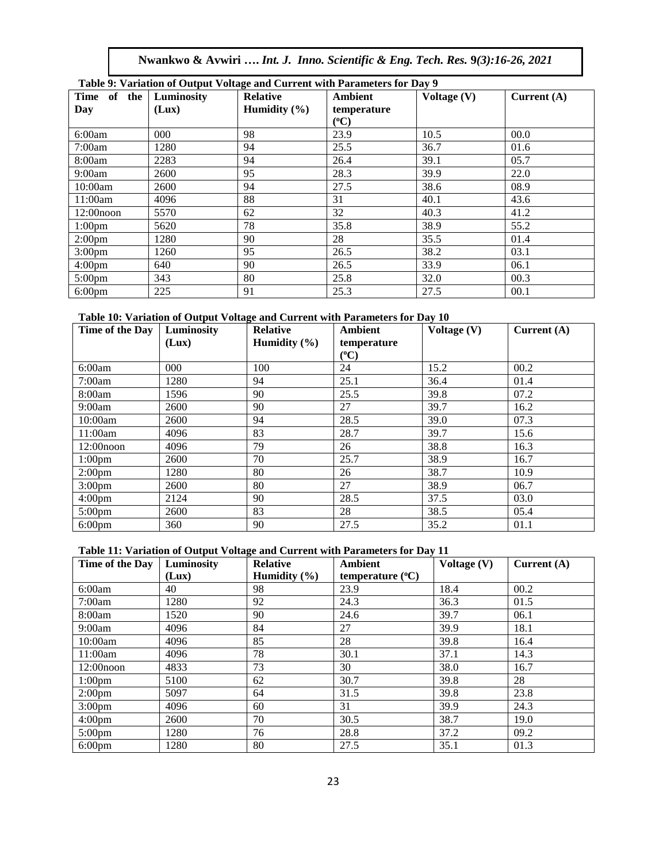**Nwankwo & Avwiri ….** *Int. J. Inno. Scientific & Eng. Tech. Res.* **9***(3):16-26, 2021*

|                    |            | Table 9: Variation of Output Voltage and Current with Parameters for Day 9 |                |               |               |
|--------------------|------------|----------------------------------------------------------------------------|----------------|---------------|---------------|
| Time of the        | Luminosity | <b>Relative</b>                                                            | <b>Ambient</b> | Voltage $(V)$ | Current $(A)$ |
| Day                | (Lux)      | Humidity $(\% )$                                                           | temperature    |               |               |
|                    |            |                                                                            | $({}^oC)$      |               |               |
| 6:00am             | 000        | 98                                                                         | 23.9           | 10.5          | 00.0          |
| 7:00am             | 1280       | 94                                                                         | 25.5           | 36.7          | 01.6          |
| 8:00am             | 2283       | 94                                                                         | 26.4           | 39.1          | 05.7          |
| 9:00am             | 2600       | 95                                                                         | 28.3           | 39.9          | 22.0          |
| 10:00am            | 2600       | 94                                                                         | 27.5           | 38.6          | 08.9          |
| 11:00am            | 4096       | 88                                                                         | 31             | 40.1          | 43.6          |
| $12:00$ noon       | 5570       | 62                                                                         | 32             | 40.3          | 41.2          |
| 1:00 <sub>pm</sub> | 5620       | 78                                                                         | 35.8           | 38.9          | 55.2          |
| 2:00 <sub>pm</sub> | 1280       | 90                                                                         | 28             | 35.5          | 01.4          |
| 3:00 <sub>pm</sub> | 1260       | 95                                                                         | 26.5           | 38.2          | 03.1          |
| 4:00 <sub>pm</sub> | 640        | 90                                                                         | 26.5           | 33.9          | 06.1          |
| $5:00 \text{pm}$   | 343        | 80                                                                         | 25.8           | 32.0          | 00.3          |
| $6:00 \text{pm}$   | 225        | 91                                                                         | 25.3           | 27.5          | 00.1          |

# **Table 9: Variation of Output Voltage and Current with Parameters for Day 9**

#### **Table 10: Variation of Output Voltage and Current with Parameters for Day 10**

| Time of the Day    | Luminosity | <b>Relative</b>  | <b>Ambient</b> | Voltage $(V)$ | Current $(A)$ |
|--------------------|------------|------------------|----------------|---------------|---------------|
|                    | (Lux)      | Humidity $(\% )$ | temperature    |               |               |
|                    |            |                  | $({}^0C)$      |               |               |
| 6:00am             | 000        | 100              | 24             | 15.2          | 00.2          |
| 7:00am             | 1280       | 94               | 25.1           | 36.4          | 01.4          |
| 8:00am             | 1596       | 90               | 25.5           | 39.8          | 07.2          |
| 9:00am             | 2600       | 90               | 27             | 39.7          | 16.2          |
| 10:00am            | 2600       | 94               | 28.5           | 39.0          | 07.3          |
| 11:00am            | 4096       | 83               | 28.7           | 39.7          | 15.6          |
| $12:00$ noon       | 4096       | 79               | 26             | 38.8          | 16.3          |
| 1:00 <sub>pm</sub> | 2600       | 70               | 25.7           | 38.9          | 16.7          |
| 2:00 <sub>pm</sub> | 1280       | 80               | 26             | 38.7          | 10.9          |
| 3:00 <sub>pm</sub> | 2600       | 80               | 27             | 38.9          | 06.7          |
| 4:00 <sub>pm</sub> | 2124       | 90               | 28.5           | 37.5          | 03.0          |
| 5:00 <sub>pm</sub> | 2600       | 83               | 28             | 38.5          | 05.4          |
| $6:00 \text{pm}$   | 360        | 90               | 27.5           | 35.2          | 01.1          |

#### **Table 11: Variation of Output Voltage and Current with Parameters for Day 11**

| Time of the Day    | Luminosity | <b>Relative</b>  | <b>Ambient</b>            | Voltage $(V)$ | Current $(A)$ |
|--------------------|------------|------------------|---------------------------|---------------|---------------|
|                    | (Lux)      | Humidity $(\% )$ | temperature $(^{\circ}C)$ |               |               |
| 6:00am             | 40         | 98               | 23.9                      | 18.4          | 00.2          |
| 7:00am             | 1280       | 92               | 24.3                      | 36.3          | 01.5          |
| 8:00am             | 1520       | 90               | 24.6                      | 39.7          | 06.1          |
| 9:00am             | 4096       | 84               | 27                        | 39.9          | 18.1          |
| 10:00am            | 4096       | 85               | 28                        | 39.8          | 16.4          |
| 11:00am            | 4096       | 78               | 30.1                      | 37.1          | 14.3          |
| $12:00$ noon       | 4833       | 73               | 30                        | 38.0          | 16.7          |
| 1:00 <sub>pm</sub> | 5100       | 62               | 30.7                      | 39.8          | 28            |
| 2:00 <sub>pm</sub> | 5097       | 64               | 31.5                      | 39.8          | 23.8          |
| 3:00 <sub>pm</sub> | 4096       | 60               | 31                        | 39.9          | 24.3          |
| 4:00 <sub>pm</sub> | 2600       | 70               | 30.5                      | 38.7          | 19.0          |
| 5:00 <sub>pm</sub> | 1280       | 76               | 28.8                      | 37.2          | 09.2          |
| $6:00 \text{pm}$   | 1280       | 80               | 27.5                      | 35.1          | 01.3          |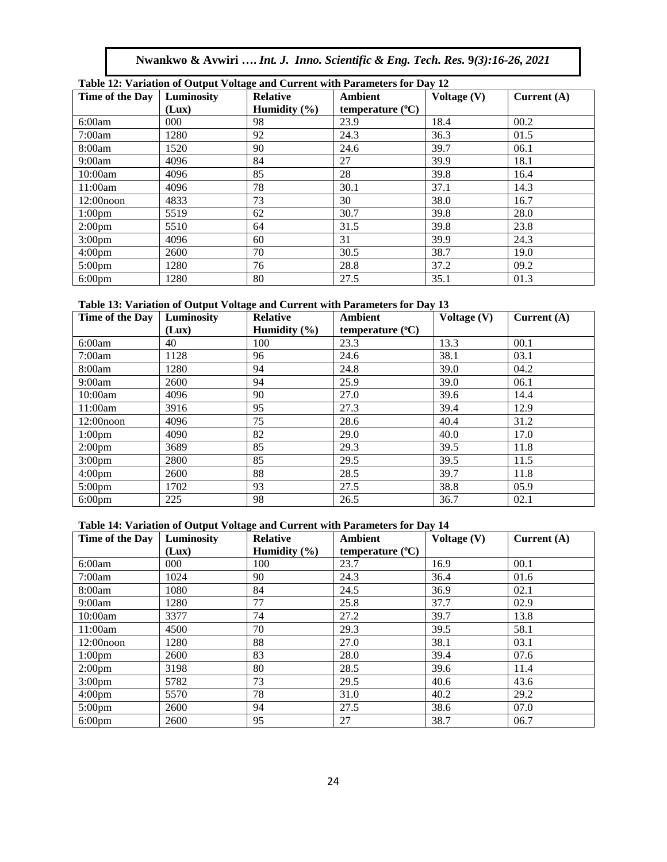| Nwankwo & Avwiri  Int. J. Inno. Scientific & Eng. Tech. Res. 9(3):16-26, 2021 |  |  |  |  |
|-------------------------------------------------------------------------------|--|--|--|--|
|                                                                               |  |  |  |  |

| Table 12: Variation of Output Voltage and Current with Parameters for Day 12 |            |                  |                           |               |               |  |
|------------------------------------------------------------------------------|------------|------------------|---------------------------|---------------|---------------|--|
| Time of the Day                                                              | Luminosity | <b>Relative</b>  | <b>Ambient</b>            | Voltage $(V)$ | Current $(A)$ |  |
|                                                                              | (Lux)      | Humidity $(\% )$ | temperature $(^{\circ}C)$ |               |               |  |
| 6:00am                                                                       | 000        | 98               | 23.9                      | 18.4          | 00.2          |  |
| 7:00am                                                                       | 1280       | 92               | 24.3                      | 36.3          | 01.5          |  |
| 8:00am                                                                       | 1520       | 90               | 24.6                      | 39.7          | 06.1          |  |
| 9:00am                                                                       | 4096       | 84               | 27                        | 39.9          | 18.1          |  |
| 10:00am                                                                      | 4096       | 85               | 28                        | 39.8          | 16.4          |  |
| 11:00am                                                                      | 4096       | 78               | 30.1                      | 37.1          | 14.3          |  |
| $12:00$ noon                                                                 | 4833       | 73               | 30                        | 38.0          | 16.7          |  |
| 1:00 <sub>pm</sub>                                                           | 5519       | 62               | 30.7                      | 39.8          | 28.0          |  |
| 2:00 <sub>pm</sub>                                                           | 5510       | 64               | 31.5                      | 39.8          | 23.8          |  |
| 3:00 <sub>pm</sub>                                                           | 4096       | 60               | 31                        | 39.9          | 24.3          |  |
| 4:00 <sub>pm</sub>                                                           | 2600       | 70               | 30.5                      | 38.7          | 19.0          |  |
| 5:00 <sub>pm</sub>                                                           | 1280       | 76               | 28.8                      | 37.2          | 09.2          |  |
| $6:00 \text{pm}$                                                             | 1280       | 80               | 27.5                      | 35.1          | 01.3          |  |

# **Table 13: Variation of Output Voltage and Current with Parameters for Day 13**

| Time of the Day    | Luminosity | <b>Relative</b>  | <b>Ambient</b>            | Voltage $(V)$ | Current $(A)$ |
|--------------------|------------|------------------|---------------------------|---------------|---------------|
|                    | (Lux)      | Humidity $(\% )$ | temperature $(^{\circ}C)$ |               |               |
| 6:00am             | 40         | 100              | 23.3                      | 13.3          | 00.1          |
| 7:00am             | 1128       | 96               | 24.6                      | 38.1          | 03.1          |
| 8:00am             | 1280       | 94               | 24.8                      | 39.0          | 04.2          |
| 9:00am             | 2600       | 94               | 25.9                      | 39.0          | 06.1          |
| 10:00am            | 4096       | 90               | 27.0                      | 39.6          | 14.4          |
| 11:00am            | 3916       | 95               | 27.3                      | 39.4          | 12.9          |
| $12:00$ noon       | 4096       | 75               | 28.6                      | 40.4          | 31.2          |
| 1:00 <sub>pm</sub> | 4090       | 82               | 29.0                      | 40.0          | 17.0          |
| 2:00 <sub>pm</sub> | 3689       | 85               | 29.3                      | 39.5          | 11.8          |
| 3:00 <sub>pm</sub> | 2800       | 85               | 29.5                      | 39.5          | 11.5          |
| 4:00 <sub>pm</sub> | 2600       | 88               | 28.5                      | 39.7          | 11.8          |
| 5:00 <sub>pm</sub> | 1702       | 93               | 27.5                      | 38.8          | 05.9          |
| $6:00 \text{pm}$   | 225        | 98               | 26.5                      | 36.7          | 02.1          |

#### **Table 14: Variation of Output Voltage and Current with Parameters for Day 14**

| Time of the Day    | Luminosity<br>(Lux) | <b>Relative</b><br>Humidity $(\% )$ | <b>Ambient</b><br>temperature $(^{\circ}C)$ | Voltage (V) | Current $(A)$ |
|--------------------|---------------------|-------------------------------------|---------------------------------------------|-------------|---------------|
| 6:00am             | 000                 | 100                                 | 23.7                                        | 16.9        | 00.1          |
| 7:00am             | 1024                | 90                                  | 24.3                                        | 36.4        | 01.6          |
| 8:00am             | 1080                | 84                                  | 24.5                                        | 36.9        | 02.1          |
| 9:00am             | 1280                | 77                                  | 25.8                                        | 37.7        | 02.9          |
| 10:00am            | 3377                | 74                                  | 27.2                                        | 39.7        | 13.8          |
| 11:00am            | 4500                | 70                                  | 29.3                                        | 39.5        | 58.1          |
| $12:00$ noon       | 1280                | 88                                  | 27.0                                        | 38.1        | 03.1          |
| 1:00 <sub>pm</sub> | 2600                | 83                                  | 28.0                                        | 39.4        | 07.6          |
| 2:00 <sub>pm</sub> | 3198                | 80                                  | 28.5                                        | 39.6        | 11.4          |
| 3:00 <sub>pm</sub> | 5782                | 73                                  | 29.5                                        | 40.6        | 43.6          |
| 4:00 <sub>pm</sub> | 5570                | 78                                  | 31.0                                        | 40.2        | 29.2          |
| 5:00 <sub>pm</sub> | 2600                | 94                                  | 27.5                                        | 38.6        | 07.0          |
| $6:00$ pm          | 2600                | 95                                  | 27                                          | 38.7        | 06.7          |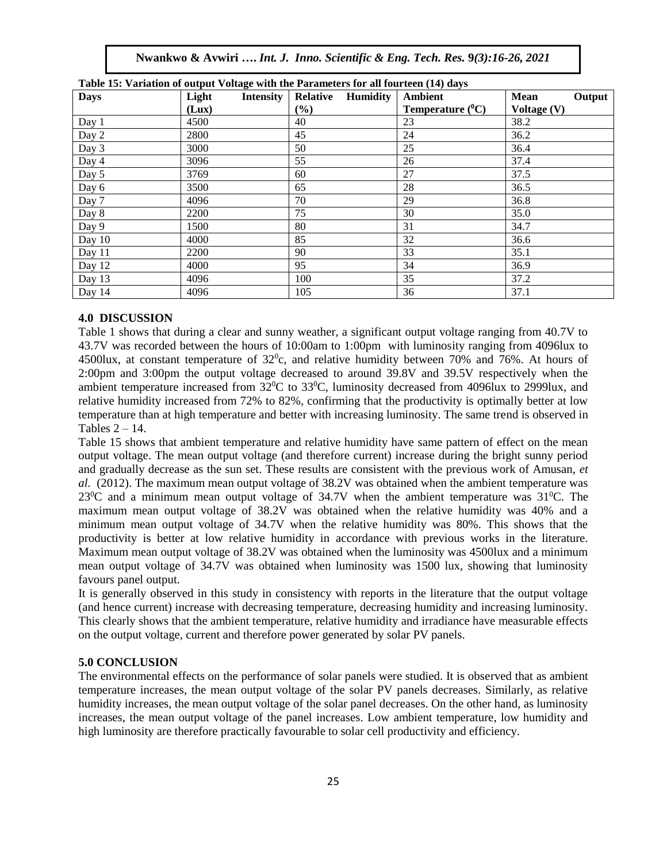**Nwankwo & Avwiri ….** *Int. J. Inno. Scientific & Eng. Tech. Res.* **9***(3):16-26, 2021*

| <b>Days</b> | Twore it, and the compact to the contract of the material of the contract $(1)$ and $\beta$<br>Light<br>Intensity | <b>Relative Humidity</b> | Ambient             | Mean<br>Output |
|-------------|-------------------------------------------------------------------------------------------------------------------|--------------------------|---------------------|----------------|
|             | (Lux)                                                                                                             | (%)                      | Temperature $(^0C)$ | Voltage $(V)$  |
| Day 1       | 4500                                                                                                              | 40                       | 23                  | 38.2           |
| Day 2       | 2800                                                                                                              | 45                       | 24                  | 36.2           |
| Day 3       | 3000                                                                                                              | 50                       | 25                  | 36.4           |
| Day 4       | 3096                                                                                                              | 55                       | 26                  | 37.4           |
| Day 5       | 3769                                                                                                              | 60                       | 27                  | 37.5           |
| Day 6       | 3500                                                                                                              | 65                       | 28                  | 36.5           |
| Day 7       | 4096                                                                                                              | 70                       | 29                  | 36.8           |
| Day 8       | 2200                                                                                                              | 75                       | 30                  | 35.0           |
| Day 9       | 1500                                                                                                              | 80                       | 31                  | 34.7           |
| Day 10      | 4000                                                                                                              | 85                       | 32                  | 36.6           |
| Day 11      | 2200                                                                                                              | 90                       | 33                  | 35.1           |
| Day 12      | 4000                                                                                                              | 95                       | 34                  | 36.9           |
| Day 13      | 4096                                                                                                              | 100                      | 35                  | 37.2           |
| Day 14      | 4096                                                                                                              | 105                      | 36                  | 37.1           |

| Table 15: Variation of output Voltage with the Parameters for all fourteen (14) days |  |  |  |
|--------------------------------------------------------------------------------------|--|--|--|
|--------------------------------------------------------------------------------------|--|--|--|

#### **4.0 DISCUSSION**

Table 1 shows that during a clear and sunny weather, a significant output voltage ranging from 40.7V to 43.7V was recorded between the hours of 10:00am to 1:00pm with luminosity ranging from 4096lux to 4500lux, at constant temperature of  $32^0$ c, and relative humidity between 70% and 76%. At hours of 2:00pm and 3:00pm the output voltage decreased to around 39.8V and 39.5V respectively when the ambient temperature increased from  $32^0C$  to  $33^0C$ , luminosity decreased from 4096lux to 2999lux, and relative humidity increased from 72% to 82%, confirming that the productivity is optimally better at low temperature than at high temperature and better with increasing luminosity. The same trend is observed in Tables  $2 - 14$ .

Table 15 shows that ambient temperature and relative humidity have same pattern of effect on the mean output voltage. The mean output voltage (and therefore current) increase during the bright sunny period and gradually decrease as the sun set. These results are consistent with the previous work of Amusan, *et al.* (2012). The maximum mean output voltage of 38.2V was obtained when the ambient temperature was  $23^{\circ}$ C and a minimum mean output voltage of 34.7V when the ambient temperature was 31 $^{\circ}$ C. The maximum mean output voltage of 38.2V was obtained when the relative humidity was 40% and a minimum mean output voltage of 34.7V when the relative humidity was 80%. This shows that the productivity is better at low relative humidity in accordance with previous works in the literature. Maximum mean output voltage of 38.2V was obtained when the luminosity was 4500lux and a minimum mean output voltage of 34.7V was obtained when luminosity was 1500 lux, showing that luminosity favours panel output.

It is generally observed in this study in consistency with reports in the literature that the output voltage (and hence current) increase with decreasing temperature, decreasing humidity and increasing luminosity. This clearly shows that the ambient temperature, relative humidity and irradiance have measurable effects on the output voltage, current and therefore power generated by solar PV panels.

#### **5.0 CONCLUSION**

The environmental effects on the performance of solar panels were studied. It is observed that as ambient temperature increases, the mean output voltage of the solar PV panels decreases. Similarly, as relative humidity increases, the mean output voltage of the solar panel decreases. On the other hand, as luminosity increases, the mean output voltage of the panel increases. Low ambient temperature, low humidity and high luminosity are therefore practically favourable to solar cell productivity and efficiency.